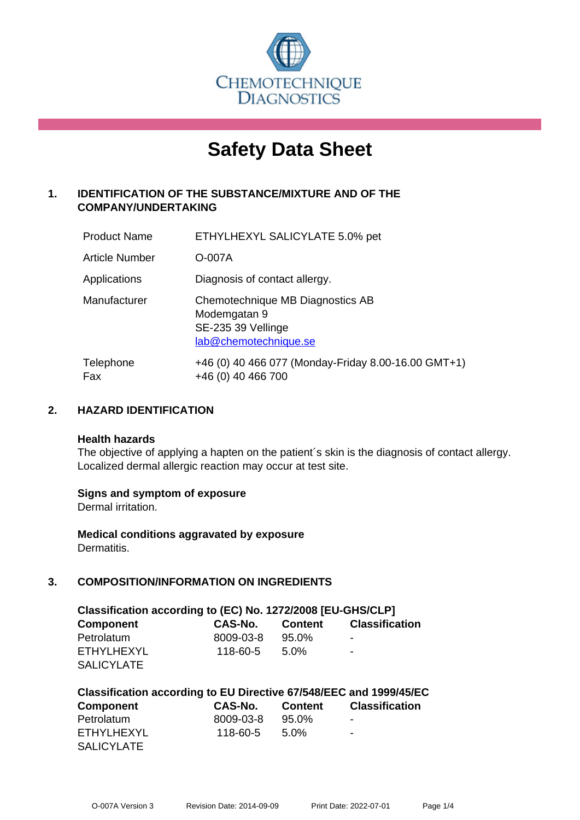

# **Safety Data Sheet**

# **1. IDENTIFICATION OF THE SUBSTANCE/MIXTURE AND OF THE COMPANY/UNDERTAKING**

| <b>Product Name</b>   | ETHYLHEXYL SALICYLATE 5.0% pet                                                                  |
|-----------------------|-------------------------------------------------------------------------------------------------|
| <b>Article Number</b> | O-007A                                                                                          |
| Applications          | Diagnosis of contact allergy.                                                                   |
| Manufacturer          | Chemotechnique MB Diagnostics AB<br>Modemgatan 9<br>SE-235 39 Vellinge<br>lab@chemotechnique.se |
| Telephone<br>Fax      | +46 (0) 40 466 077 (Monday-Friday 8.00-16.00 GMT+1)<br>+46 (0) 40 466 700                       |

## **2. HAZARD IDENTIFICATION**

#### **Health hazards**

The objective of applying a hapten on the patient's skin is the diagnosis of contact allergy. Localized dermal allergic reaction may occur at test site.

## **Signs and symptom of exposure**

Dermal irritation.

**Medical conditions aggravated by exposure** Dermatitis.

## **3. COMPOSITION/INFORMATION ON INGREDIENTS**

| Classification according to (EC) No. 1272/2008 [EU-GHS/CLP] |           |         |                          |  |
|-------------------------------------------------------------|-----------|---------|--------------------------|--|
| <b>Component</b>                                            | CAS-No.   | Content | <b>Classification</b>    |  |
| Petrolatum                                                  | 8009-03-8 | 95.0%   | -                        |  |
| FTHYLHEXYL                                                  | 118-60-5  | $5.0\%$ | $\overline{\phantom{a}}$ |  |
| <b>SALICYLATE</b>                                           |           |         |                          |  |

| Classification according to EU Directive 67/548/EEC and 1999/45/EC |           |         |                       |  |  |
|--------------------------------------------------------------------|-----------|---------|-----------------------|--|--|
| <b>Component</b>                                                   | CAS-No.   | Content | <b>Classification</b> |  |  |
| Petrolatum                                                         | 8009-03-8 | 95.0%   | -                     |  |  |
| ETHYLHEXYL                                                         | 118-60-5  | 5.0%    | -                     |  |  |
| <b>SALICYLATE</b>                                                  |           |         |                       |  |  |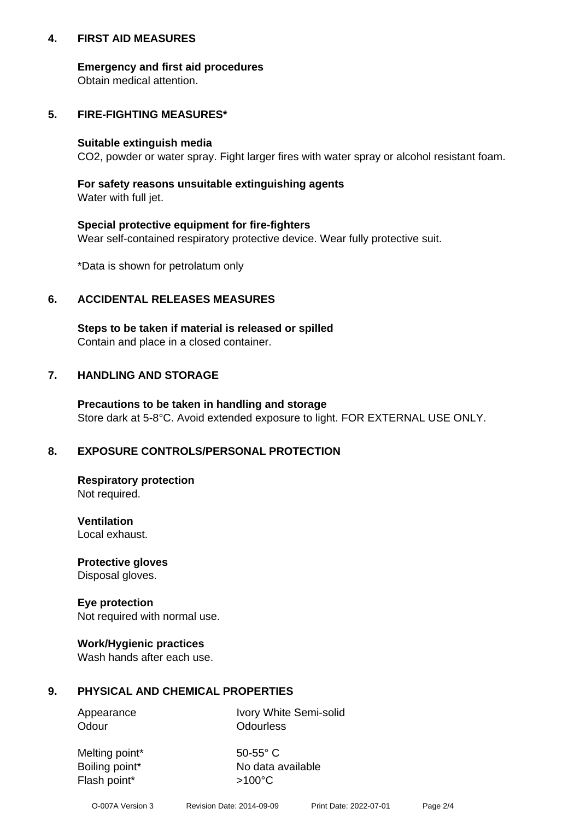## **4. FIRST AID MEASURES**

## **Emergency and first aid procedures**

Obtain medical attention.

# **5. FIRE-FIGHTING MEASURES\***

#### **Suitable extinguish media**

CO2, powder or water spray. Fight larger fires with water spray or alcohol resistant foam.

# **For safety reasons unsuitable extinguishing agents**

Water with full jet.

## **Special protective equipment for fire-fighters**

Wear self-contained respiratory protective device. Wear fully protective suit.

\*Data is shown for petrolatum only

## **6. ACCIDENTAL RELEASES MEASURES**

**Steps to be taken if material is released or spilled** Contain and place in a closed container.

# **7. HANDLING AND STORAGE**

**Precautions to be taken in handling and storage** Store dark at 5-8°C. Avoid extended exposure to light. FOR EXTERNAL USE ONLY.

# **8. EXPOSURE CONTROLS/PERSONAL PROTECTION**

**Respiratory protection** Not required.

**Ventilation** Local exhaust.

**Protective gloves** Disposal gloves.

#### **Eye protection** Not required with normal use.

## **Work/Hygienic practices**

Wash hands after each use.

## **9. PHYSICAL AND CHEMICAL PROPERTIES**

Odour **Odourless** 

Appearance Ivory White Semi-solid

Melting point\* 50-55° C Flash point\*  $>100^{\circ}$ C

Boiling point\* No data available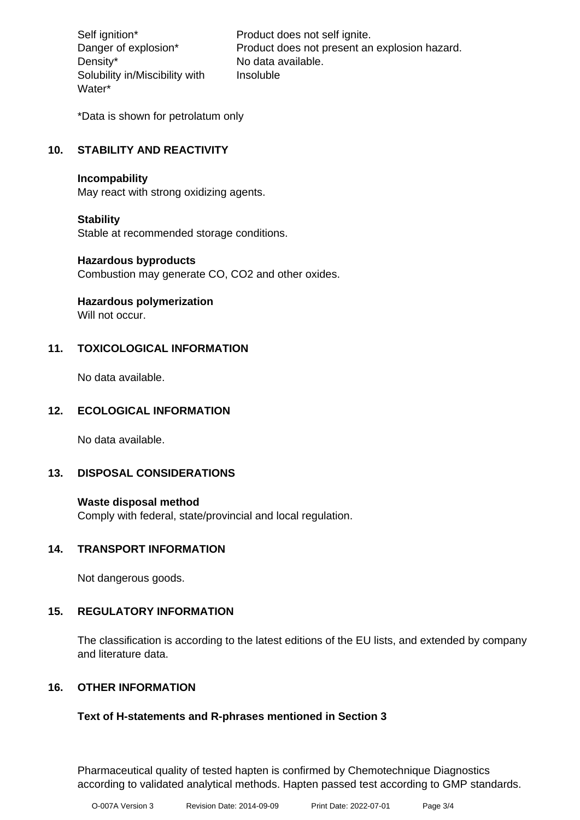Density\* No data available. Solubility in/Miscibility with Water\*

Self ignition\* Product does not self ignite. Danger of explosion\* Product does not present an explosion hazard. Insoluble

\*Data is shown for petrolatum only

# **10. STABILITY AND REACTIVITY**

#### **Incompability**

May react with strong oxidizing agents.

## **Stability**

Stable at recommended storage conditions.

#### **Hazardous byproducts**

Combustion may generate CO, CO2 and other oxides.

**Hazardous polymerization**

Will not occur.

## **11. TOXICOLOGICAL INFORMATION**

No data available.

## **12. ECOLOGICAL INFORMATION**

No data available.

## **13. DISPOSAL CONSIDERATIONS**

#### **Waste disposal method**

Comply with federal, state/provincial and local regulation.

#### **14. TRANSPORT INFORMATION**

Not dangerous goods.

## **15. REGULATORY INFORMATION**

The classification is according to the latest editions of the EU lists, and extended by company and literature data.

## **16. OTHER INFORMATION**

## **Text of H-statements and R-phrases mentioned in Section 3**

Pharmaceutical quality of tested hapten is confirmed by Chemotechnique Diagnostics according to validated analytical methods. Hapten passed test according to GMP standards.